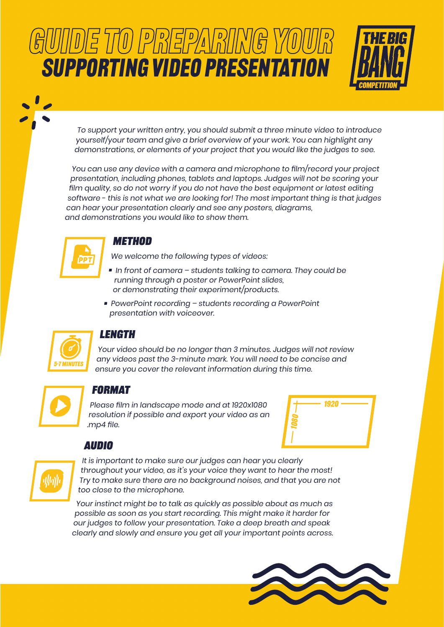# GUIDE TO PREPARING YOUR SUPPORTING VIDEO PRESENTATION



To support your written entry, you should submit a three minute video to introduce yourself/your team and give a brief overview of your work. You can highlight any demonstrations, or elements of your project that you would like the judges to see.

You can use any device with a camera and microphone to film/record your project presentation, including phones, tablets and laptops. Judges will not be scoring your film quality, so do not worry if you do not have the best equipment or latest editing software - this is not what we are looking for! The most important thing is that judges can hear your presentation clearly and see any posters, diagrams, and demonstrations you would like to show them.



WIN

## **Method**

We welcome the following types of videos:

- In front of camera students talking to camera. They could be running through a poster or PowerPoint slides, or demonstrating their experiment/products.
- PowerPoint recording students recording a PowerPoint presentation with voiceover.



## **Length**

Your video should be no longer than 3 minutes. Judges will not review any videos past the 3-minute mark. You will need to be concise and ensure you cover the relevant information during this time.



## **Format**

Please film in landscape mode and at 1920x1080 resolution if possible and export your video as an .mp4 file.



#### **Audio** 5-7 minUTES



It is important to make sure our judges can hear you clearly throughout your video, as it's your voice they want to hear the most! Try to make sure there are no background noises, and that you are not too close to the microphone.

Your instinct might be to talk as quickly as possible about as much as possible as soon as you start recording. This might make it harder for our judges to follow your presentation. Take a deep breath and speak clearly and slowly and ensure you get all your important points across.